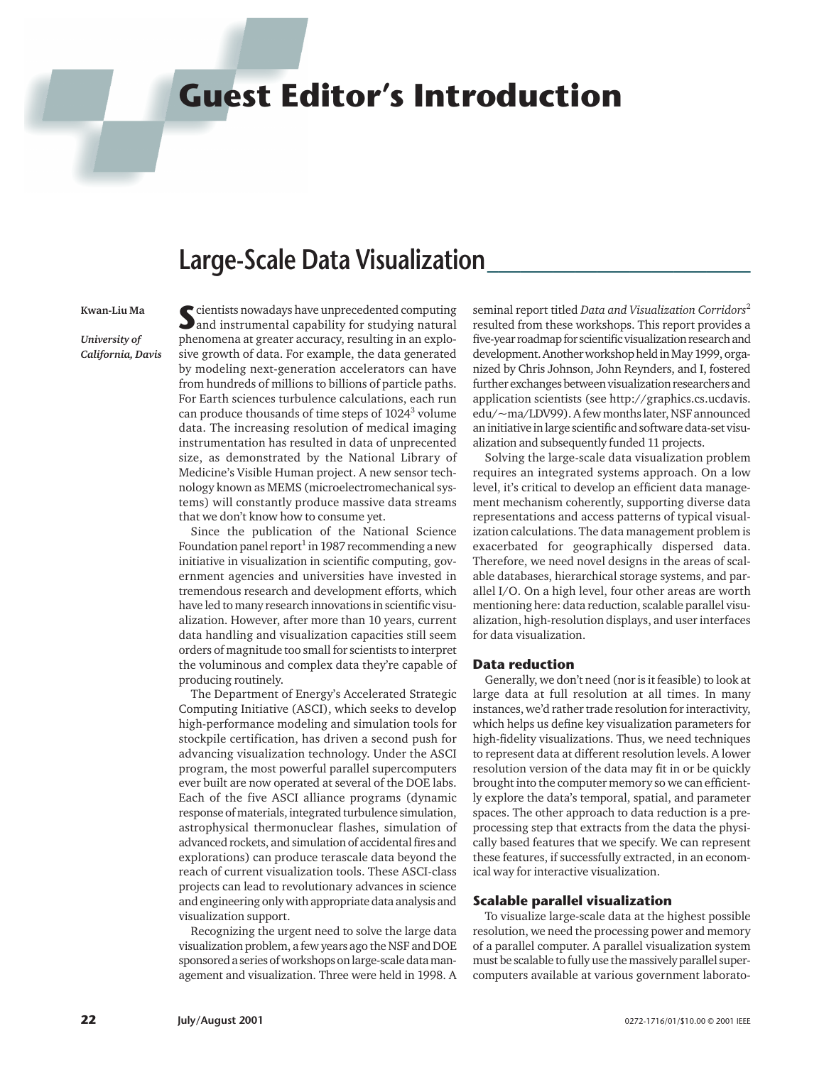# **Guest Editor's Introduction**

# **Large-Scale Data Visualization\_\_\_\_\_\_\_\_\_\_\_\_\_\_\_\_\_\_\_\_\_\_\_\_**

### **Kwan-Liu Ma**

*University of California, Davis*

Sacremental capability for studying natural same instrumental capability for studying natural phenomena at greater accuracy, resulting in an explosive growth of data. For example, the data generated by modeling next-generation accelerators can have from hundreds of millions to billions of particle paths. For Earth sciences turbulence calculations, each run can produce thousands of time steps of  $1024<sup>3</sup>$  volume data. The increasing resolution of medical imaging instrumentation has resulted in data of unprecented size, as demonstrated by the National Library of Medicine's Visible Human project. A new sensor technology known as MEMS (microelectromechanical systems) will constantly produce massive data streams that we don't know how to consume yet.

Since the publication of the National Science Foundation panel report<sup>1</sup> in 1987 recommending a new initiative in visualization in scientific computing, government agencies and universities have invested in tremendous research and development efforts, which have led to many research innovations in scientific visualization. However, after more than 10 years, current data handling and visualization capacities still seem orders of magnitude too small for scientists to interpret the voluminous and complex data they're capable of producing routinely.

The Department of Energy's Accelerated Strategic Computing Initiative (ASCI), which seeks to develop high-performance modeling and simulation tools for stockpile certification, has driven a second push for advancing visualization technology. Under the ASCI program, the most powerful parallel supercomputers ever built are now operated at several of the DOE labs. Each of the five ASCI alliance programs (dynamic response of materials, integrated turbulence simulation, astrophysical thermonuclear flashes, simulation of advanced rockets, and simulation of accidental fires and explorations) can produce terascale data beyond the reach of current visualization tools. These ASCI-class projects can lead to revolutionary advances in science and engineering only with appropriate data analysis and visualization support.

Recognizing the urgent need to solve the large data visualization problem, a few years ago the NSF and DOE sponsored a series of workshops on large-scale data management and visualization. Three were held in 1998. A seminal report titled *Data and Visualization Corridors*<sup>2</sup> resulted from these workshops. This report provides a five-year roadmap for scientific visualization research and development. Another workshop held in May 1999, organized by Chris Johnson, John Reynders, and I, fostered further exchanges between visualization researchers and application scientists (see http://graphics.cs.ucdavis. edu/~ma/LDV99). A few months later, NSF announced an initiative in large scientific and software data-set visualization and subsequently funded 11 projects.

Solving the large-scale data visualization problem requires an integrated systems approach. On a low level, it's critical to develop an efficient data management mechanism coherently, supporting diverse data representations and access patterns of typical visualization calculations. The data management problem is exacerbated for geographically dispersed data. Therefore, we need novel designs in the areas of scalable databases, hierarchical storage systems, and parallel I/O. On a high level, four other areas are worth mentioning here: data reduction, scalable parallel visualization, high-resolution displays, and user interfaces for data visualization.

# **Data reduction**

Generally, we don't need (nor is it feasible) to look at large data at full resolution at all times. In many instances, we'd rather trade resolution for interactivity, which helps us define key visualization parameters for high-fidelity visualizations. Thus, we need techniques to represent data at different resolution levels. A lower resolution version of the data may fit in or be quickly brought into the computer memory so we can efficiently explore the data's temporal, spatial, and parameter spaces. The other approach to data reduction is a preprocessing step that extracts from the data the physically based features that we specify. We can represent these features, if successfully extracted, in an economical way for interactive visualization.

#### **Scalable parallel visualization**

To visualize large-scale data at the highest possible resolution, we need the processing power and memory of a parallel computer. A parallel visualization system must be scalable to fully use the massively parallel supercomputers available at various government laborato